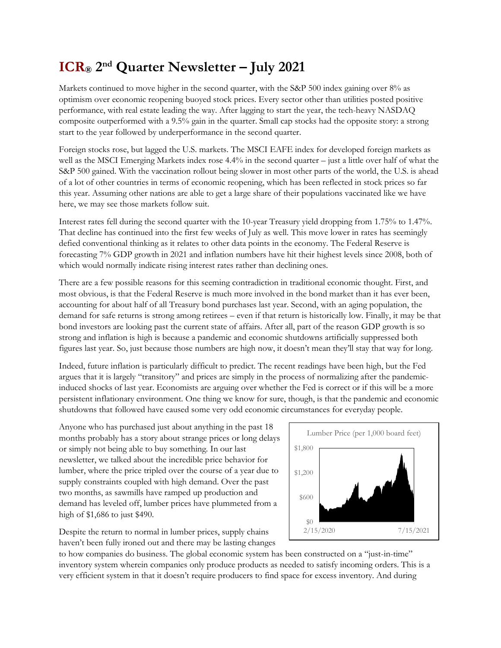## ICR® 2nd Quarter Newsletter – July 2021

Markets continued to move higher in the second quarter, with the S&P 500 index gaining over 8% as optimism over economic reopening buoyed stock prices. Every sector other than utilities posted positive performance, with real estate leading the way. After lagging to start the year, the tech-heavy NASDAQ composite outperformed with a 9.5% gain in the quarter. Small cap stocks had the opposite story: a strong start to the year followed by underperformance in the second quarter.

Foreign stocks rose, but lagged the U.S. markets. The MSCI EAFE index for developed foreign markets as well as the MSCI Emerging Markets index rose 4.4% in the second quarter – just a little over half of what the S&P 500 gained. With the vaccination rollout being slower in most other parts of the world, the U.S. is ahead of a lot of other countries in terms of economic reopening, which has been reflected in stock prices so far this year. Assuming other nations are able to get a large share of their populations vaccinated like we have here, we may see those markets follow suit.

Interest rates fell during the second quarter with the 10-year Treasury yield dropping from 1.75% to 1.47%. That decline has continued into the first few weeks of July as well. This move lower in rates has seemingly defied conventional thinking as it relates to other data points in the economy. The Federal Reserve is forecasting 7% GDP growth in 2021 and inflation numbers have hit their highest levels since 2008, both of which would normally indicate rising interest rates rather than declining ones.

There are a few possible reasons for this seeming contradiction in traditional economic thought. First, and most obvious, is that the Federal Reserve is much more involved in the bond market than it has ever been, accounting for about half of all Treasury bond purchases last year. Second, with an aging population, the demand for safe returns is strong among retirees – even if that return is historically low. Finally, it may be that bond investors are looking past the current state of affairs. After all, part of the reason GDP growth is so strong and inflation is high is because a pandemic and economic shutdowns artificially suppressed both figures last year. So, just because those numbers are high now, it doesn't mean they'll stay that way for long.

Indeed, future inflation is particularly difficult to predict. The recent readings have been high, but the Fed argues that it is largely "transitory" and prices are simply in the process of normalizing after the pandemicinduced shocks of last year. Economists are arguing over whether the Fed is correct or if this will be a more persistent inflationary environment. One thing we know for sure, though, is that the pandemic and economic shutdowns that followed have caused some very odd economic circumstances for everyday people.

Anyone who has purchased just about anything in the past 18 months probably has a story about strange prices or long delays or simply not being able to buy something. In our last newsletter, we talked about the incredible price behavior for lumber, where the price tripled over the course of a year due to supply constraints coupled with high demand. Over the past two months, as sawmills have ramped up production and demand has leveled off, lumber prices have plummeted from a high of \$1,686 to just \$490.



Despite the return to normal in lumber prices, supply chains haven't been fully ironed out and there may be lasting changes

to how companies do business. The global economic system has been constructed on a "just-in-time" inventory system wherein companies only produce products as needed to satisfy incoming orders. This is a very efficient system in that it doesn't require producers to find space for excess inventory. And during